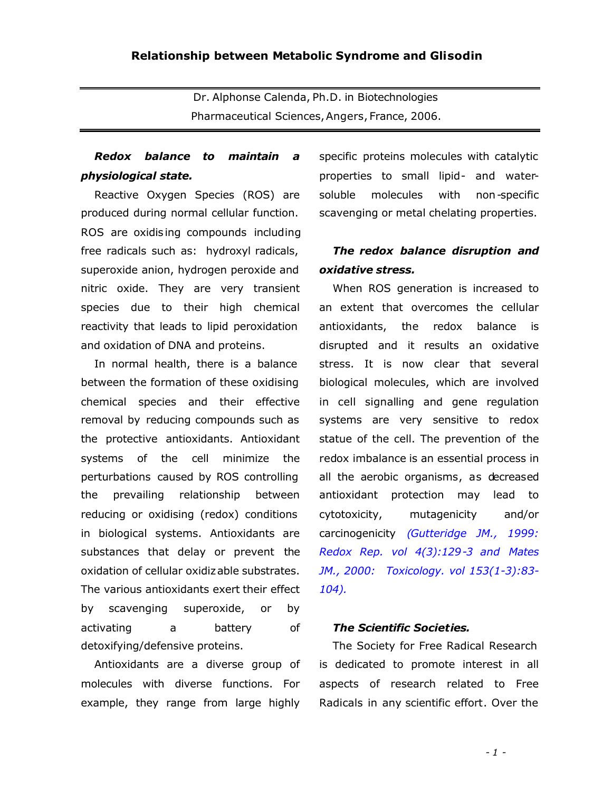Dr. Alphonse Calenda, Ph.D. in Biotechnologies Pharmaceutical Sciences,Angers, France, 2006.

# *Redox balance to maintain a physiological state.*

Reactive Oxygen Species (ROS) are produced during normal cellular function. ROS are oxidis ing compounds including free radicals such as: hydroxyl radicals, superoxide anion, hydrogen peroxide and nitric oxide. They are very transient species due to their high chemical reactivity that leads to lipid peroxidation and oxidation of DNA and proteins.

In normal health, there is a balance between the formation of these oxidising chemical species and their effective removal by reducing compounds such as the protective antioxidants. Antioxidant systems of the cell minimize the perturbations caused by ROS controlling the prevailing relationship between reducing or oxidising (redox) conditions in biological systems. Antioxidants are substances that delay or prevent the oxidation of cellular oxidizable substrates. The various antioxidants exert their effect by scavenging superoxide, or by activating a battery of detoxifying/defensive proteins.

Antioxidants are a diverse group of molecules with diverse functions. For example, they range from large highly specific proteins molecules with catalytic properties to small lipid- and watersoluble molecules with non-specific scavenging or metal chelating properties.

## *The redox balance disruption and oxidative stress.*

When ROS generation is increased to an extent that overcomes the cellular antioxidants, the redox balance is disrupted and it results an oxidative stress. It is now clear that several biological molecules, which are involved in cell signalling and gene regulation systems are very sensitive to redox statue of the cell. The prevention of the redox imbalance is an essential process in all the aerobic organisms, as decreased antioxidant protection may lead to cytotoxicity, mutagenicity and/or carcinogenicity *(Gutteridge JM., 1999: Redox Rep. vol 4(3):129-3 and Mates JM., 2000: Toxicology. vol 153(1-3):83- 104).*

#### *The Scientific Societies.*

The Society for Free Radical Research is dedicated to promote interest in all aspects of research related to Free Radicals in any scientific effort. Over the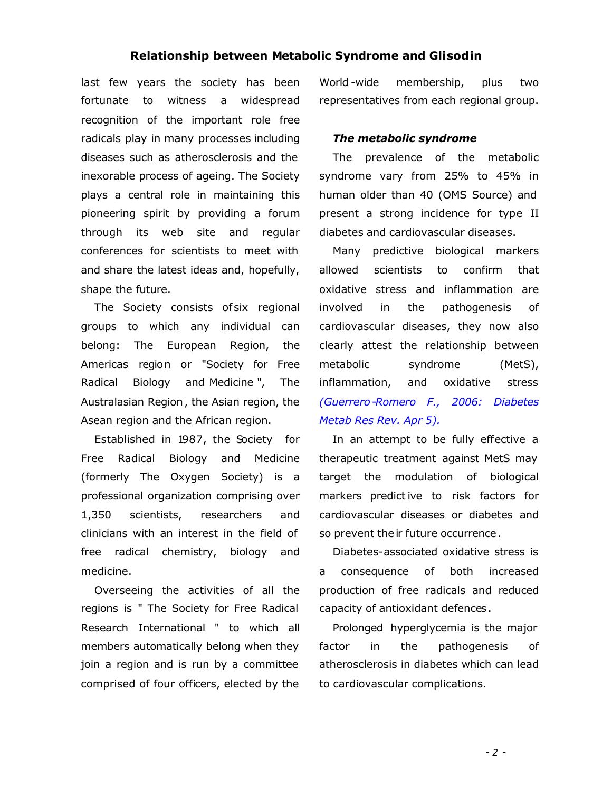#### **Relationship between Metabolic Syndrome and Glisodin**

last few years the society has been fortunate to witness a widespread recognition of the important role free radicals play in many processes including diseases such as atherosclerosis and the inexorable process of ageing. The Society plays a central role in maintaining this pioneering spirit by providing a forum through its web site and regular conferences for scientists to meet with and share the latest ideas and, hopefully, shape the future.

The Society consists of six regional groups to which any individual can belong: The European Region, the Americas region or "Society for Free Radical Biology and Medicine ", The Australasian Region, the Asian region, the Asean region and the African region.

Established in 1987, the Society for Free Radical Biology and Medicine (formerly The Oxygen Society) is a professional organization comprising over 1,350 scientists, researchers and clinicians with an interest in the field of free radical chemistry, biology and medicine.

Overseeing the activities of all the regions is " The Society for Free Radical Research International " to which all members automatically belong when they join a region and is run by a committee comprised of four officers, elected by the World -wide membership, plus two representatives from each regional group.

### *The metabolic syndrome*

The prevalence of the metabolic syndrome vary from 25% to 45% in human older than 40 (OMS Source) and present a strong incidence for type II diabetes and cardiovascular diseases.

Many predictive biological markers allowed scientists to confirm that oxidative stress and inflammation are involved in the pathogenesis of cardiovascular diseases, they now also clearly attest the relationship between metabolic syndrome (MetS), inflammation, and oxidative stress *(Guerrero-Romero F., 2006: Diabetes Metab Res Rev. Apr 5).*

In an attempt to be fully effective a therapeutic treatment against MetS may target the modulation of biological markers predict ive to risk factors for cardiovascular diseases or diabetes and so prevent their future occurrence.

Diabetes-associated oxidative stress is a consequence of both increased production of free radicals and reduced capacity of antioxidant defences.

Prolonged hyperglycemia is the major factor in the pathogenesis of atherosclerosis in diabetes which can lead to cardiovascular complications.